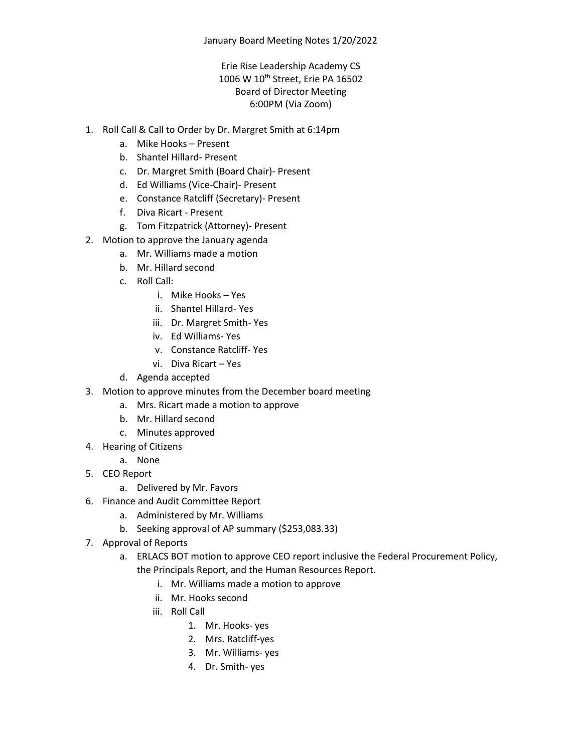## Erie Rise Leadership Academy CS 1006 W 10<sup>th</sup> Street, Erie PA 16502 Board of Director Meeting 6:00PM (Via Zoom)

- 1. Roll Call & Call to Order by Dr. Margret Smith at 6:14pm
	- a. Mike Hooks Present
	- b. Shantel Hillard- Present
	- c. Dr. Margret Smith (Board Chair)- Present
	- d. Ed Williams (Vice-Chair)- Present
	- e. Constance Ratcliff (Secretary)- Present
	- f. Diva Ricart Present
	- g. Tom Fitzpatrick (Attorney)- Present
- 2. Motion to approve the January agenda
	- a. Mr. Williams made a motion
	- b. Mr. Hillard second
	- c. Roll Call:
		- i. Mike Hooks Yes
		- ii. Shantel Hillard- Yes
		- iii. Dr. Margret Smith- Yes
		- iv. Ed Williams- Yes
		- v. Constance Ratcliff- Yes
		- vi. Diva Ricart Yes
	- d. Agenda accepted
- 3. Motion to approve minutes from the December board meeting
	- a. Mrs. Ricart made a motion to approve
	- b. Mr. Hillard second
	- c. Minutes approved
- 4. Hearing of Citizens
	- a. None
- 5. CEO Report
	- a. Delivered by Mr. Favors
- 6. Finance and Audit Committee Report
	- a. Administered by Mr. Williams
	- b. Seeking approval of AP summary (\$253,083.33)
- 7. Approval of Reports
	- a. ERLACS BOT motion to approve CEO report inclusive the Federal Procurement Policy, the Principals Report, and the Human Resources Report.
		- i. Mr. Williams made a motion to approve
		- ii. Mr. Hooks second
		- iii. Roll Call
			- 1. Mr. Hooks- yes
			- 2. Mrs. Ratcliff-yes
			- 3. Mr. Williams- yes
			- 4. Dr. Smith- yes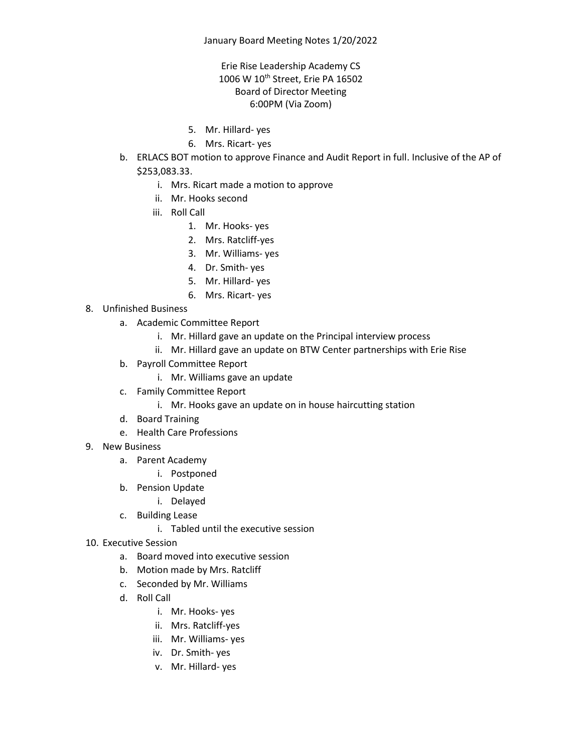## Erie Rise Leadership Academy CS 1006 W 10<sup>th</sup> Street, Erie PA 16502 Board of Director Meeting 6:00PM (Via Zoom)

- 5. Mr. Hillard- yes
- 6. Mrs. Ricart- yes
- b. ERLACS BOT motion to approve Finance and Audit Report in full. Inclusive of the AP of \$253,083.33.
	- i. Mrs. Ricart made a motion to approve
	- ii. Mr. Hooks second
	- iii. Roll Call
		- 1. Mr. Hooks- yes
		- 2. Mrs. Ratcliff-yes
		- 3. Mr. Williams- yes
		- 4. Dr. Smith- yes
		- 5. Mr. Hillard- yes
		- 6. Mrs. Ricart- yes
- 8. Unfinished Business
	- a. Academic Committee Report
		- i. Mr. Hillard gave an update on the Principal interview process
		- ii. Mr. Hillard gave an update on BTW Center partnerships with Erie Rise
	- b. Payroll Committee Report
		- i. Mr. Williams gave an update
	- c. Family Committee Report
		- i. Mr. Hooks gave an update on in house haircutting station
	- d. Board Training
	- e. Health Care Professions
- 9. New Business
	- a. Parent Academy
		- i. Postponed
	- b. Pension Update
		- i. Delayed
	- c. Building Lease
		- i. Tabled until the executive session
- 10. Executive Session
	- a. Board moved into executive session
	- b. Motion made by Mrs. Ratcliff
	- c. Seconded by Mr. Williams
	- d. Roll Call
		- i. Mr. Hooks- yes
		- ii. Mrs. Ratcliff-yes
		- iii. Mr. Williams- yes
		- iv. Dr. Smith- yes
		- v. Mr. Hillard- yes